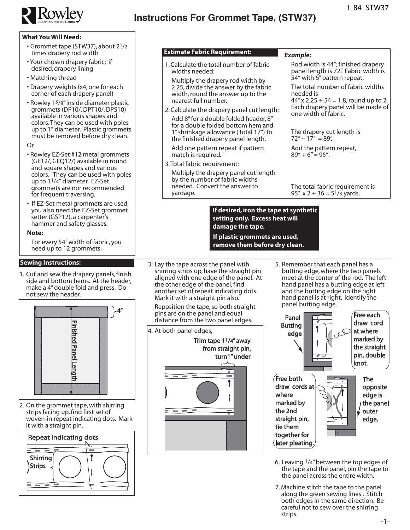

# **Instructions For Grommet Tape, (STW37)**

### **What You Will Need:**

- Grommet tape (STW37), about 21/2 times drapery rod width
- Your chosen drapery fabric; if desired, drapery lining
- Matching thread
- Drapery weights (x4, one for each corner of each drapery panel)
- Rowley 13/8" inside diameter plastic grommets (DP10/, DPT10/, DPS10) available in various shapes and colors.They can be used with poles up to 1" diameter. Plastic grommets must be removed before dry clean.

#### Or

- Rowley EZ-Set #12 metal grommets (GE12/, GEQ12/) available in round and square shapes and various colors. They can be used with poles up to 11/4" diameter. EZ-Set grommets are nor recommended for frequent traversing.
- If EZ-Set metal grommets are used, you also need the EZ-Set grommet setter (GSP12), a carpenter's hammer and safety glasses.

#### **Note:**

For every 54" width of fabric, you need up to 12 grommets.

## **Sewing Instructions:**

1. Cut and sew the drapery panels, finish side and bottom hems. At the header, make a 4" double fold and press. Do not sew the header.



2. On the grommet tape, with shirring strips facing up, find first set of woven-in repeat indicating dots. Mark it with a straight pin.



#### **Estimate Fabric Requirement:**

- 1.Calculate the total number of fabric widths needed:
- Multiply the drapery rod width by 2.25, divide the answer by the fabric width, round the answer up to the nearest full number.
- 2.Calculate the drapery panel cut length: Add 8"for a double folded header, 8" for a double folded bottom hem and 1" shrinkage allowance (Total 17") to the finished drapery panel length.

Add one pattern repeat if pattern match is required.

- 3.Total fabric requirement:
	- Multiply the drapery panel cut length by the number of fabric widths needed. Convert the answer to yardage.

#### *Example:*

Rod width is 44"; finished drapery panel length is 72". Fabric width is 54" with 6" pattern repeat.

The total number of fabric widths needed is

 $44''$  x 2.25  $\div$  54 = 1.8, round up to 2. Each drapery panel will be made of one width of fabric.

The drapery cut length is  $72'' + 17'' = 89''$ .

Add the pattern repeat,<br> $89'' + 6'' = 95''.$ 

The total fabric requirement is 95"  $x$  2 ÷ 36 = 5<sup>1</sup>/3 yards.

#### **If desired, iron the tape at synthetic setting only. Excess heat will damage the tape.**

**If plastic grommets are used, remove them before dry clean.**

3. Lay the tape across the panel with shirring strips up, have the straight pin aligned with one edge of the panel. At the other edge of the panel, find another set of repeat indicating dots. Mark it with a straight pin also.

Reposition the tape, so both straight pins are on the panel and equal distance from the two panel edges.

4. At both panel edges,



5. Remember that each panel has a butting edge, where the two panels meet at the center of the rod. The left hand panel has a butting edge at left and the butting edge on the right hand panel is at right. Identify the panel butting edge.



- 6. Leaving  $1/4$ " between the top edges of the tape and the panel, pin the tape to the panel across the entire width.
- 7. Machine stitch the tape to the panel along the green sewing lines . Stitch both edges in the same direction. Be careful not to sew over the shirring strips.